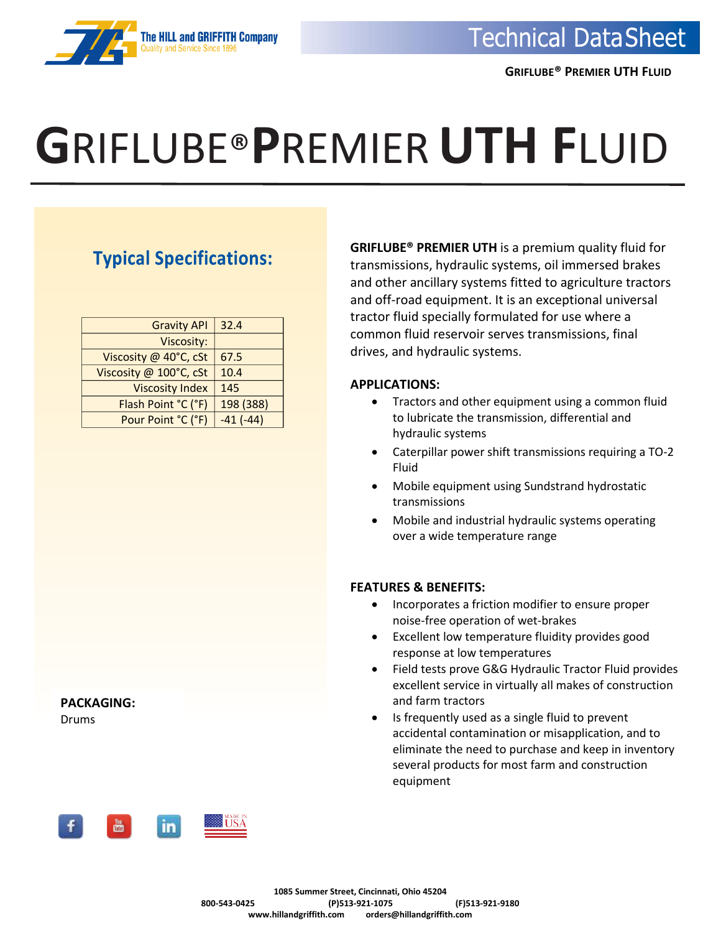

# **G**RIFLUBE®**P**REMIER**UTH F**LUID

### **Typical Specifications:**

| <b>Gravity API</b>     | 32.4       |
|------------------------|------------|
| Viscosity:             |            |
| Viscosity @ 40°C, cSt  | 67.5       |
| Viscosity @ 100°C, cSt | 10.4       |
| <b>Viscosity Index</b> | 145        |
| Flash Point °C (°F)    | 198 (388)  |
| Pour Point °C (°F)     | $-41(-44)$ |

**PACKAGING:** Drums



**GRIFLUBE® PREMIER UTH** is a premium quality fluid for transmissions, hydraulic systems, oil immersed brakes and other ancillary systems fitted to agriculture tractors and off-road equipment. It is an exceptional universal tractor fluid specially formulated for use where a common fluid reservoir serves transmissions, final drives, and hydraulic systems.

#### **APPLICATIONS:**

- Tractors and other equipment using a common fluid to lubricate the transmission, differential and hydraulic systems
- Caterpillar power shift transmissions requiring a TO-2 Fluid
- Mobile equipment using Sundstrand hydrostatic transmissions
- Mobile and industrial hydraulic systems operating over a wide temperature range

#### **FEATURES & BENEFITS:**

- Incorporates a friction modifier to ensure proper noise-free operation of wet-brakes
- Excellent low temperature fluidity provides good response at low temperatures
- Field tests prove G&G Hydraulic Tractor Fluid provides excellent service in virtually all makes of construction and farm tractors
- Is frequently used as a single fluid to prevent accidental contamination or misapplication, and to eliminate the need to purchase and keep in inventory several products for most farm and construction equipment